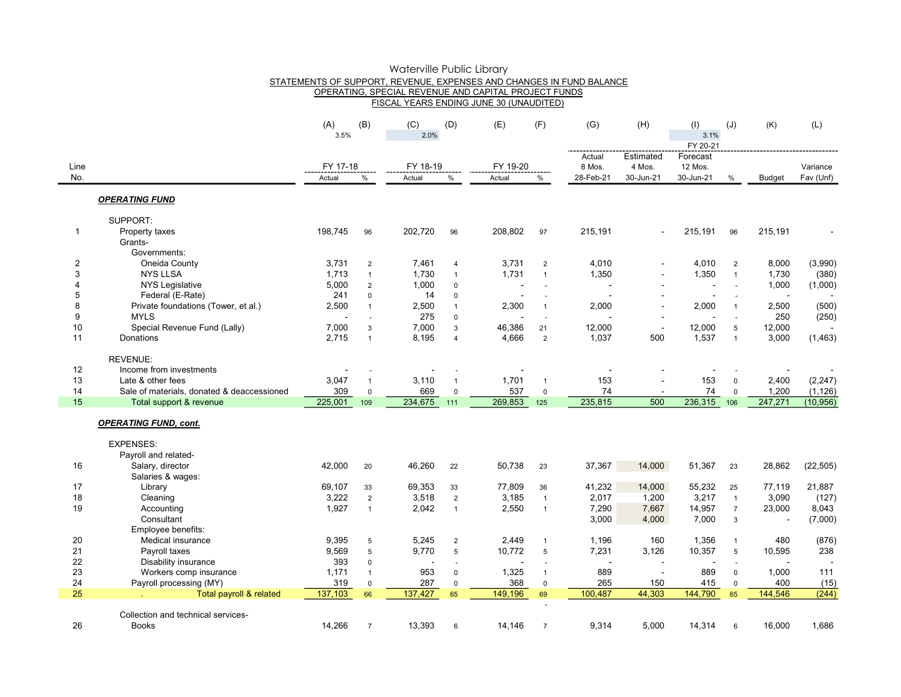|                |                                            |             |                | Waterville Public Library |                |                                                                      |                |           |                |             |                |               |           |
|----------------|--------------------------------------------|-------------|----------------|---------------------------|----------------|----------------------------------------------------------------------|----------------|-----------|----------------|-------------|----------------|---------------|-----------|
|                |                                            |             |                |                           |                | STATEMENTS OF SUPPORT, REVENUE, EXPENSES AND CHANGES IN FUND BALANCE |                |           |                |             |                |               |           |
|                |                                            |             |                |                           |                | OPERATING, SPECIAL REVENUE AND CAPITAL PROJECT FUNDS                 |                |           |                |             |                |               |           |
|                |                                            |             |                |                           |                | FISCAL YEARS ENDING JUNE 30 (UNAUDITED)                              |                |           |                |             |                |               |           |
|                |                                            |             | (B)            | (C)                       |                | (E)                                                                  | (F)            |           | (H)            |             |                | (K)           | (L)       |
|                |                                            | (A)<br>3.5% |                | 2.0%                      | (D)            |                                                                      |                | (G)       |                | (1)<br>3.1% | (J)            |               |           |
|                |                                            |             |                |                           |                |                                                                      |                |           |                | FY 20-21    |                |               |           |
|                |                                            |             |                |                           |                |                                                                      |                | Actual    | Estimated      | Forecast    |                |               |           |
| Line           |                                            | FY 17-18    |                | FY 18-19                  |                | FY 19-20                                                             |                | 8 Mos.    | 4 Mos.         | 12 Mos.     |                |               | Variance  |
| No.            |                                            | Actual      | %              | Actual                    | $\%$           | Actual                                                               | $\%$           | 28-Feb-21 | 30-Jun-21      | 30-Jun-21   | $\%$           | <b>Budget</b> | Fav (Unf) |
|                |                                            |             |                |                           |                |                                                                      |                |           |                |             |                |               |           |
|                | <b>OPERATING FUND</b>                      |             |                |                           |                |                                                                      |                |           |                |             |                |               |           |
|                |                                            |             |                |                           |                |                                                                      |                |           |                |             |                |               |           |
|                | SUPPORT:                                   |             |                |                           |                |                                                                      |                |           |                |             |                |               |           |
| $\mathbf{1}$   | Property taxes                             | 198,745     | 96             | 202,720                   | 96             | 208,802                                                              | 97             | 215,191   |                | 215,191     | 96             | 215,191       |           |
|                | Grants-                                    |             |                |                           |                |                                                                      |                |           |                |             |                |               |           |
|                | Governments:                               |             |                |                           |                |                                                                      |                |           |                |             |                |               |           |
| $\overline{c}$ | Oneida County                              | 3,731       | $\overline{2}$ | 7,461                     | $\overline{4}$ | 3,731                                                                | $\overline{2}$ | 4,010     |                | 4,010       | $\overline{2}$ | 8,000         | (3,990)   |
| 3              | <b>NYS LLSA</b>                            | 1,713       | $\mathbf{1}$   | 1,730                     | $\mathbf{1}$   | 1,731                                                                | $\mathbf{1}$   | 1,350     |                | 1,350       | $\mathbf{1}$   | 1,730         | (380)     |
| 4              | <b>NYS Legislative</b>                     | 5,000       | $\overline{2}$ | 1,000                     | $\mathbf 0$    |                                                                      |                |           | $\blacksquare$ |             | ÷,             | 1,000         | (1,000)   |
| 5              | Federal (E-Rate)                           | 241         | $\pmb{0}$      | 14                        | $\pmb{0}$      |                                                                      |                |           |                |             |                |               |           |
| 8              | Private foundations (Tower, et al.)        | 2,500       | $\mathbf{1}$   | 2,500                     | $\mathbf{1}$   | 2,300                                                                | $\mathbf{1}$   | 2,000     |                | 2,000       | $\mathbf{1}$   | 2,500         | (500)     |
| 9              | <b>MYLS</b>                                |             |                | 275                       | $\mathbf 0$    |                                                                      |                |           |                |             |                | 250           | (250)     |
| 10             | Special Revenue Fund (Lally)               | 7,000       | 3              | 7,000                     | $\mathbf{3}$   | 46,386                                                               | 21             | 12,000    | $\blacksquare$ | 12,000      | 5              | 12,000        |           |
| 11             | Donations                                  | 2,715       | $\mathbf{1}$   | 8,195                     | $\overline{4}$ | 4,666                                                                | $\overline{2}$ | 1,037     | 500            | 1,537       | $\mathbf{1}$   | 3,000         | (1, 463)  |
|                | <b>REVENUE:</b>                            |             |                |                           |                |                                                                      |                |           |                |             |                |               |           |
| 12             | Income from investments                    |             |                |                           |                |                                                                      |                |           |                |             |                |               |           |
| 13             | Late & other fees                          | 3,047       | $\overline{1}$ | 3,110                     | $\mathbf{1}$   | 1,701                                                                | $\mathbf{1}$   | 153       |                | 153         | $\mathsf 0$    | 2,400         | (2, 247)  |
| 14             | Sale of materials, donated & deaccessioned | 309         | $\mathbf 0$    | 669                       | $\pmb{0}$      | 537                                                                  | $\mathbf 0$    | 74        |                | 74          | $\mathsf 0$    | 1,200         | (1, 126)  |
| 15             | Total support & revenue                    | 225,001     | 109            | 234,675                   | 111            | 269,853                                                              | 125            | 235,815   | 500            | 236,315     | 106            | 247,271       | (10, 956) |
|                | <b>OPERATING FUND, cont.</b>               |             |                |                           |                |                                                                      |                |           |                |             |                |               |           |
|                |                                            |             |                |                           |                |                                                                      |                |           |                |             |                |               |           |
|                | <b>EXPENSES:</b>                           |             |                |                           |                |                                                                      |                |           |                |             |                |               |           |
|                | Payroll and related-                       |             |                |                           |                |                                                                      |                |           |                |             |                |               |           |
| 16             | Salary, director                           | 42,000      | 20             | 46,260                    | 22             | 50,738                                                               | 23             | 37,367    | 14,000         | 51,367      | 23             | 28,862        | (22, 505) |
|                | Salaries & wages:                          |             |                |                           |                |                                                                      |                |           |                |             |                |               |           |
| 17             | Library                                    | 69,107      | 33             | 69,353                    | 33             | 77,809                                                               | 36             | 41,232    | 14,000         | 55,232      | 25             | 77,119        | 21,887    |
| 18             | Cleaning                                   | 3,222       | $\overline{2}$ | 3,518                     | $\sqrt{2}$     | 3,185                                                                | $\overline{1}$ | 2,017     | 1,200          | 3,217       | $\mathbf{1}$   | 3,090         | (127)     |
| 19             | Accounting                                 | 1,927       | $\mathbf{1}$   | 2,042                     | $\mathbf{1}$   | 2,550                                                                | $\overline{1}$ | 7,290     | 7,667          | 14,957      | $\overline{7}$ | 23,000        | 8,043     |
|                | Consultant                                 |             |                |                           |                |                                                                      |                | 3,000     | 4,000          | 7,000       | 3              |               | (7,000)   |
|                | Employee benefits:                         |             |                |                           |                |                                                                      |                |           |                |             |                |               |           |
| 20             | Medical insurance                          | 9,395       | 5              | 5,245                     | $\overline{2}$ | 2,449                                                                | $\mathbf{1}$   | 1,196     | 160            | 1,356       | $\mathbf{1}$   | 480           | (876)     |
| 21             | Payroll taxes                              | 9,569       | 5              | 9,770                     | $\sqrt{5}$     | 10,772                                                               | $\sqrt{5}$     | 7,231     | 3,126          | 10,357      | $\overline{5}$ | 10,595        | 238       |
| 22             | Disability insurance                       | 393         | $\mathbf 0$    |                           | ÷,             |                                                                      | ÷.             |           |                |             |                |               |           |
| 23             | Workers comp insurance                     | 1,171       | $\overline{1}$ | 953                       | $\mathbf 0$    | 1,325                                                                | $\overline{1}$ | 889       | $\sim$         | 889         | $\mathbf 0$    | 1,000         | 111       |
| 24             | Payroll processing (MY)                    | 319         | $\mathbf 0$    | 287                       | $\pmb{0}$      | 368                                                                  | $\mathsf 0$    | 265       | 150            | 415         | $\mathsf 0$    | 400           | (15)      |
| 25             | Total payroll & related                    | 137,103     | 66             | 137,427                   | 65             | 149,196                                                              | 69             | 100.487   | 44,303         | 144,790     | 65             | 144,546       | (244)     |
|                | Collection and technical services-         |             |                |                           |                |                                                                      |                |           |                |             |                |               |           |
| 26             | <b>Books</b>                               | 14,266      | $\overline{7}$ | 13,393                    | 6              | 14.146                                                               | $\overline{7}$ | 9,314     | 5,000          | 14,314      | 6              | 16,000        | 1,686     |
|                |                                            |             |                |                           |                |                                                                      |                |           |                |             |                |               |           |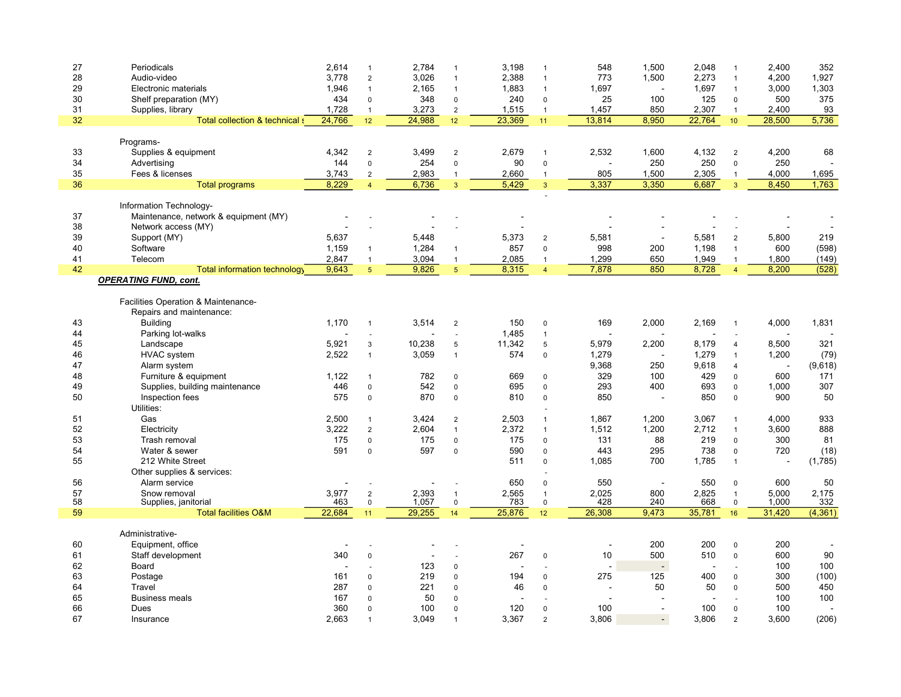| 27 | Periodicals                           | 2,614  | $\mathbf{1}$   | 2,784  | $\overline{1}$  | 3,198  | $\mathbf{1}$   | 548            | 1,500                    | 2,048  | $\mathbf{1}$    | 2,400  | 352      |
|----|---------------------------------------|--------|----------------|--------|-----------------|--------|----------------|----------------|--------------------------|--------|-----------------|--------|----------|
| 28 | Audio-video                           | 3.778  | $\overline{2}$ | 3,026  | $\mathbf{1}$    | 2,388  | $\mathbf{1}$   | 773            | 1,500                    | 2,273  | $\mathbf{1}$    | 4,200  | 1,927    |
| 29 | Electronic materials                  | 1,946  | $\mathbf{1}$   | 2,165  | $\mathbf{1}$    | 1,883  | $\mathbf{1}$   | 1,697          |                          | 1,697  | $\mathbf{1}$    | 3,000  | 1,303    |
| 30 |                                       | 434    |                | 348    |                 | 240    | $\mathbf 0$    | 25             | 100                      | 125    |                 | 500    | 375      |
|    | Shelf preparation (MY)                |        | $\mathsf 0$    |        | $\pmb{0}$       |        |                |                |                          |        | $\mathsf 0$     |        |          |
| 31 | Supplies, library                     | 1,728  | $\mathbf{1}$   | 3,273  | $\sqrt{2}$      | 1,515  | $\mathbf{1}$   | 1,457          | 850                      | 2,307  | $\mathbf{1}$    | 2,400  | 93       |
| 32 | Total collection & technical s        | 24,766 | 12             | 24,988 | 12              | 23,369 | 11             | 13,814         | 8,950                    | 22,764 | 10 <sup>°</sup> | 28,500 | 5,736    |
|    |                                       |        |                |        |                 |        |                |                |                          |        |                 |        |          |
|    | Programs-                             |        |                |        |                 |        |                |                |                          |        |                 |        |          |
| 33 | Supplies & equipment                  | 4,342  | $\overline{2}$ | 3,499  | $\overline{2}$  | 2,679  | $\overline{1}$ | 2,532          | 1,600                    | 4,132  | $\overline{2}$  | 4,200  | 68       |
|    |                                       |        |                |        |                 |        |                |                |                          |        |                 |        |          |
| 34 | Advertising                           | 144    | $\mathsf 0$    | 254    | $\pmb{0}$       | 90     | $\pmb{0}$      | J.             | 250                      | 250    | $\pmb{0}$       | 250    |          |
| 35 | Fees & licenses                       | 3,743  | $\overline{2}$ | 2,983  | $\mathbf{1}$    | 2,660  | $\mathbf{1}$   | 805            | 1,500                    | 2,305  | $\mathbf{1}$    | 4,000  | 1,695    |
| 36 | <b>Total programs</b>                 | 8,229  | $\overline{4}$ | 6,736  | 3               | 5,429  | $\overline{3}$ | 3,337          | 3,350                    | 6,687  | $\overline{3}$  | 8,450  | 1,763    |
|    |                                       |        |                |        |                 |        |                |                |                          |        |                 |        |          |
|    | Information Technology-               |        |                |        |                 |        |                |                |                          |        |                 |        |          |
| 37 | Maintenance, network & equipment (MY) |        |                |        |                 |        |                |                |                          |        |                 |        |          |
|    |                                       |        |                |        |                 |        |                |                |                          |        |                 |        |          |
| 38 | Network access (MY)                   |        |                |        |                 |        |                |                |                          |        |                 |        |          |
| 39 | Support (MY)                          | 5,637  |                | 5,448  |                 | 5,373  | $\overline{2}$ | 5,581          | $\sim$                   | 5,581  | $\overline{2}$  | 5,800  | 219      |
| 40 | Software                              | 1,159  | $\mathbf{1}$   | 1,284  | $\mathbf{1}$    | 857    | $\mathsf 0$    | 998            | 200                      | 1,198  | $\mathbf{1}$    | 600    | (598)    |
| 41 | Telecom                               | 2,847  | $\mathbf{1}$   | 3,094  | $\mathbf{1}$    | 2,085  | $\mathbf{1}$   | 1,299          | 650                      | 1,949  | $\mathbf{1}$    | 1,800  | (149)    |
|    |                                       |        |                |        |                 |        |                |                |                          |        |                 |        |          |
| 42 | Total information technology          | 9,643  | 5 <sup>5</sup> | 9,826  | $5\overline{5}$ | 8,315  | $\overline{4}$ | 7,878          | 850                      | 8,728  | $\overline{4}$  | 8,200  | (528)    |
|    | <b>OPERATING FUND, cont.</b>          |        |                |        |                 |        |                |                |                          |        |                 |        |          |
|    |                                       |        |                |        |                 |        |                |                |                          |        |                 |        |          |
|    | Facilities Operation & Maintenance-   |        |                |        |                 |        |                |                |                          |        |                 |        |          |
|    | Repairs and maintenance:              |        |                |        |                 |        |                |                |                          |        |                 |        |          |
| 43 |                                       | 1.170  |                |        |                 | 150    |                | 169            | 2.000                    |        |                 |        |          |
|    | <b>Building</b>                       |        | $\mathbf{1}$   | 3,514  | $\overline{2}$  |        | $\mathbf 0$    |                |                          | 2,169  | $\mathbf{1}$    | 4,000  | 1,831    |
| 44 | Parking lot-walks                     |        |                |        | $\sim$          | 1,485  | $\mathbf{1}$   |                |                          |        |                 |        |          |
| 45 | Landscape                             | 5,921  | 3              | 10,238 | 5               | 11,342 | 5              | 5,979          | 2,200                    | 8,179  | $\overline{4}$  | 8,500  | 321      |
| 46 | <b>HVAC</b> system                    | 2,522  | $\mathbf{1}$   | 3,059  | $\mathbf{1}$    | 574    | $\mathsf 0$    | 1,279          | $\overline{a}$           | 1,279  | $\mathbf{1}$    | 1,200  | (79)     |
| 47 |                                       |        |                |        |                 |        |                |                |                          |        |                 |        |          |
|    | Alarm system                          |        |                |        |                 |        |                | 9,368          | 250                      | 9,618  | $\overline{4}$  |        | (9,618)  |
| 48 | Furniture & equipment                 | 1,122  | $\mathbf{1}$   | 782    | $\mathbf 0$     | 669    | $\Omega$       | 329            | 100                      | 429    | $\Omega$        | 600    | 171      |
| 49 | Supplies, building maintenance        | 446    | $\mathsf 0$    | 542    | $\pmb{0}$       | 695    | $\mathbf 0$    | 293            | 400                      | 693    | $\pmb{0}$       | 1,000  | 307      |
| 50 | Inspection fees                       | 575    | $\mathsf 0$    | 870    | $\mathbf 0$     | 810    | $\mathsf 0$    | 850            |                          | 850    | $\mathbf 0$     | 900    | 50       |
|    |                                       |        |                |        |                 |        |                |                |                          |        |                 |        |          |
|    | Utilities:                            |        |                |        |                 |        |                |                |                          |        |                 |        |          |
| 51 | Gas                                   | 2,500  | $\mathbf{1}$   | 3,424  | $\overline{2}$  | 2,503  | $\mathbf{1}$   | 1,867          | 1,200                    | 3,067  | $\mathbf{1}$    | 4,000  | 933      |
| 52 | Electricity                           | 3,222  | $\overline{2}$ | 2,604  | $\mathbf{1}$    | 2,372  | $\mathbf{1}$   | 1,512          | 1,200                    | 2,712  | $\mathbf{1}$    | 3,600  | 888      |
| 53 | Trash removal                         | 175    | $\mathsf 0$    | 175    | $\pmb{0}$       | 175    | $\mathbf 0$    | 131            | 88                       | 219    | $\pmb{0}$       | 300    | 81       |
| 54 |                                       | 591    |                | 597    |                 | 590    | $\mathbf 0$    |                | 295                      | 738    |                 | 720    |          |
|    | Water & sewer                         |        | $\mathsf 0$    |        | $\pmb{0}$       |        |                | 443            |                          |        | $\pmb{0}$       |        | (18)     |
| 55 | 212 White Street                      |        |                |        |                 | 511    | $\Omega$       | 1,085          | 700                      | 1,785  | $\mathbf{1}$    |        | (1,785)  |
|    | Other supplies & services:            |        |                |        |                 |        |                |                |                          |        |                 |        |          |
| 56 | Alarm service                         |        |                |        |                 | 650    | $\Omega$       | 550            | $\overline{\phantom{a}}$ | 550    | $\mathbf 0$     | 600    | 50       |
| 57 | Snow removal                          | 3,977  |                | 2,393  | $\overline{1}$  | 2,565  | $\mathbf{1}$   | 2,025          | 800                      | 2,825  | $\mathbf{1}$    | 5,000  | 2,175    |
|    |                                       |        | $\sqrt{2}$     |        |                 |        |                |                |                          |        |                 |        |          |
| 58 | Supplies, janitorial                  | 463    | $\mathsf 0$    | 1,057  | $\mathsf 0$     | 783    | $\mathsf 0$    | 428            | 240                      | 668    | $\mathsf 0$     | 1,000  | 332      |
| 59 | <b>Total facilities O&amp;M</b>       | 22,684 | 11             | 29,255 | 14              | 25,876 | 12             | 26,308         | 9,473                    | 35,781 | 16 <sup>°</sup> | 31,420 | (4, 361) |
|    |                                       |        |                |        |                 |        |                |                |                          |        |                 |        |          |
|    | Administrative-                       |        |                |        |                 |        |                |                |                          |        |                 |        |          |
| 60 | Equipment, office                     |        |                |        |                 |        |                |                | 200                      | 200    | $\mathsf 0$     | 200    |          |
| 61 | Staff development                     | 340    | $\mathbf 0$    |        |                 | 267    | $\mathbf 0$    | 10             | 500                      | 510    | $\mathbf 0$     | 600    | 90       |
|    |                                       |        |                |        |                 |        |                |                |                          |        |                 |        |          |
| 62 | Board                                 |        |                | 123    | $\pmb{0}$       |        |                | $\overline{a}$ | $\mathbf{r}$             |        |                 | 100    | 100      |
| 63 | Postage                               | 161    | $\mathbf 0$    | 219    | $\mathbf 0$     | 194    | $\Omega$       | 275            | 125                      | 400    | $\mathbf 0$     | 300    | (100)    |
| 64 | Travel                                | 287    | $\mathbf 0$    | 221    | $\pmb{0}$       | 46     | $\mathbf 0$    | J.             | 50                       | 50     | $\mathsf 0$     | 500    | 450      |
| 65 | <b>Business meals</b>                 | 167    |                | 50     | $\mathbf 0$     |        |                | $\blacksquare$ |                          |        |                 | 100    | 100      |
|    |                                       |        | $\mathbf 0$    |        |                 |        |                |                |                          |        |                 |        |          |
| 66 | <b>Dues</b>                           | 360    | $\Omega$       | 100    | $\mathbf 0$     | 120    | $\Omega$       | 100            |                          | 100    | $\mathbf 0$     | 100    |          |
| 67 | Insurance                             | 2.663  | $\mathbf{1}$   | 3,049  | $\overline{1}$  | 3,367  | $\overline{2}$ | 3,806          | $\overline{a}$           | 3,806  | $\overline{2}$  | 3,600  | (206)    |
|    |                                       |        |                |        |                 |        |                |                |                          |        |                 |        |          |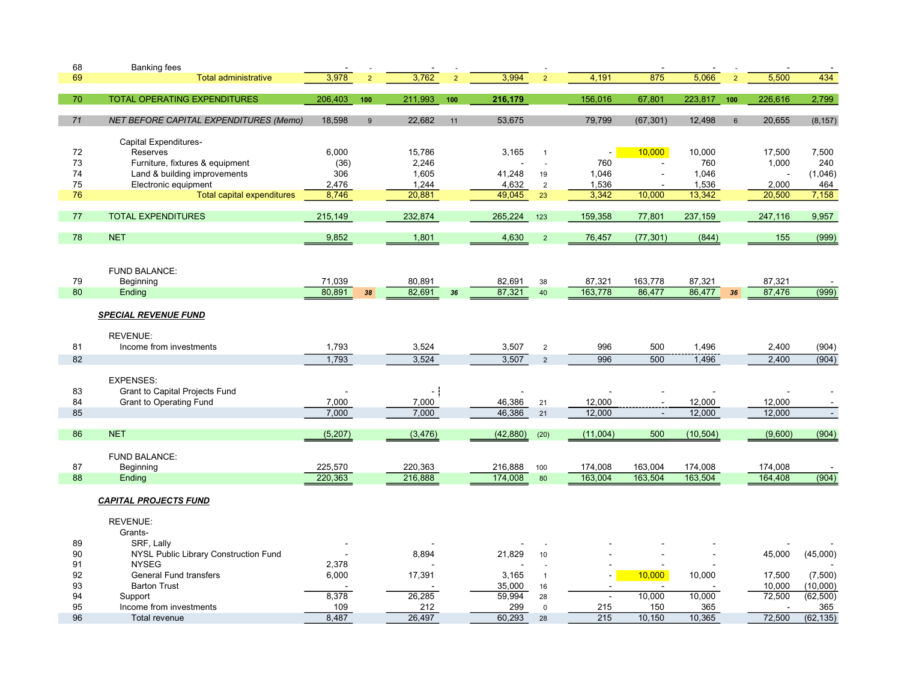| 68 | <b>Banking fees</b>                           |          |                |          |               |           |                |                  |           |           |                |         |           |
|----|-----------------------------------------------|----------|----------------|----------|---------------|-----------|----------------|------------------|-----------|-----------|----------------|---------|-----------|
| 69 | <b>Total administrative</b>                   | 3,978    | $\overline{2}$ | 3,762    | $\mathcal{D}$ | 3,994     | $\mathcal{P}$  | 4,191            | 875       | 5,066     | $\overline{2}$ | 5,500   | 434       |
|    |                                               |          |                |          |               |           |                |                  |           |           |                |         |           |
| 70 | <b>TOTAL OPERATING EXPENDITURES</b>           | 206,403  | 100            | 211,993  | 100           | 216,179   |                | 156,016          | 67,801    | 223,817   | 100            | 226,616 | 2,799     |
|    |                                               |          |                |          |               |           |                |                  |           |           |                |         |           |
| 71 | <b>NET BEFORE CAPITAL EXPENDITURES (Memo)</b> | 18,598   | 9              | 22,682   | 11            | 53,675    |                | 79,799           | (67, 301) | 12,498    | $6\phantom{1}$ | 20,655  | (8, 157)  |
|    |                                               |          |                |          |               |           |                |                  |           |           |                |         |           |
|    | Capital Expenditures-                         |          |                |          |               |           |                |                  |           |           |                |         |           |
| 72 | Reserves                                      | 6,000    |                | 15,786   |               | 3,165     | $\mathbf{1}$   |                  | 10,000    | 10,000    |                | 17,500  | 7,500     |
| 73 | Furniture, fixtures & equipment               | (36)     |                | 2,246    |               |           | ÷.             | 760              |           | 760       |                | 1,000   | 240       |
| 74 | Land & building improvements                  | 306      |                | 1,605    |               | 41,248    | 19             | 1,046            |           | 1,046     |                |         | (1,046)   |
| 75 | Electronic equipment                          | 2,476    |                | 1,244    |               | 4,632     | $\overline{2}$ | 1,536            |           | 1,536     |                | 2,000   | 464       |
| 76 | <b>Total capital expenditures</b>             | 8,746    |                | 20,881   |               | 49,045    | 23             | 3,342            | 10,000    | 13,342    |                | 20,500  | 7,158     |
| 77 | <b>TOTAL EXPENDITURES</b>                     | 215,149  |                | 232,874  |               | 265,224   | 123            | 159,358          | 77,801    | 237,159   |                | 247,116 | 9,957     |
|    |                                               |          |                |          |               |           |                |                  |           |           |                |         |           |
| 78 | <b>NET</b>                                    | 9,852    |                | 1,801    |               | 4,630     | $\overline{2}$ | 76,457           | (77, 301) | (844)     |                | 155     | (999)     |
|    |                                               |          |                |          |               |           |                |                  |           |           |                |         |           |
|    |                                               |          |                |          |               |           |                |                  |           |           |                |         |           |
|    | FUND BALANCE:                                 |          |                |          |               |           |                |                  |           |           |                |         |           |
| 79 | Beginning                                     | 71,039   |                | 80,891   |               | 82,691    | 38             | 87,321           | 163,778   | 87,321    |                | 87,321  |           |
| 80 | Ending                                        | 80,891   | 38             | 82,691   | 36            | 87,321    | 40             | 163,778          | 86,477    | 86,477    | 36             | 87,476  | (999)     |
|    |                                               |          |                |          |               |           |                |                  |           |           |                |         |           |
|    | <b>SPECIAL REVENUE FUND</b>                   |          |                |          |               |           |                |                  |           |           |                |         |           |
|    |                                               |          |                |          |               |           |                |                  |           |           |                |         |           |
|    | <b>REVENUE:</b>                               |          |                |          |               |           |                |                  |           |           |                |         |           |
| 81 | Income from investments                       | 1,793    |                | 3,524    |               | 3,507     | $\overline{2}$ | 996              | 500       | 1,496     |                | 2,400   | (904)     |
| 82 |                                               | 1,793    |                | 3,524    |               | 3,507     | $\overline{2}$ | 996              | 500       | 1,496     |                | 2,400   | (904)     |
|    |                                               |          |                |          |               |           |                |                  |           |           |                |         |           |
|    | <b>EXPENSES:</b>                              |          |                |          |               |           |                |                  |           |           |                |         |           |
| 83 | Grant to Capital Projects Fund                |          |                | - 1      |               |           |                |                  |           |           |                |         |           |
| 84 | <b>Grant to Operating Fund</b>                | 7,000    |                | 7,000    |               | 46,386    | 21             | 12,000           | $\sim$    | 12,000    |                | 12,000  |           |
| 85 |                                               | 7,000    |                | 7,000    |               | 46,386    | 21             | 12,000           | $\sim$    | 12,000    |                | 12,000  | $\sim$    |
|    |                                               |          |                |          |               |           |                |                  |           |           |                |         |           |
| 86 | <b>NET</b>                                    | (5, 207) |                | (3, 476) |               | (42, 880) | (20)           | (11,004)         | 500       | (10, 504) |                | (9,600) | (904)     |
|    |                                               |          |                |          |               |           |                |                  |           |           |                |         |           |
|    | <b>FUND BALANCE:</b>                          |          |                |          |               |           |                |                  |           |           |                |         |           |
| 87 | Beginning                                     | 225,570  |                | 220,363  |               | 216,888   | 100            | 174,008          | 163,004   | 174,008   |                | 174,008 |           |
| 88 | Ending                                        | 220,363  |                | 216,888  |               | 174,008   | 80             | 163,004          | 163,504   | 163,504   |                | 164,408 | (904)     |
|    |                                               |          |                |          |               |           |                |                  |           |           |                |         |           |
|    | <b>CAPITAL PROJECTS FUND</b>                  |          |                |          |               |           |                |                  |           |           |                |         |           |
|    | <b>REVENUE:</b>                               |          |                |          |               |           |                |                  |           |           |                |         |           |
|    | Grants-                                       |          |                |          |               |           |                |                  |           |           |                |         |           |
| 89 | SRF, Lally                                    |          |                |          |               |           |                |                  |           |           |                |         |           |
| 90 | NYSL Public Library Construction Fund         |          |                | 8,894    |               | 21,829    | 10             |                  |           |           |                | 45,000  | (45,000)  |
| 91 | <b>NYSEG</b>                                  | 2,378    |                |          |               |           |                |                  |           |           |                |         |           |
| 92 | General Fund transfers                        | 6,000    |                | 17,391   |               | 3,165     | $\mathbf{1}$   | ä,               | 10,000    | 10,000    |                | 17,500  | (7,500)   |
| 93 | <b>Barton Trust</b>                           |          |                |          |               | 35,000    | 16             | $\blacksquare$   |           |           |                | 10,000  | (10,000)  |
| 94 | Support                                       | 8,378    |                | 26,285   |               | 59,994    | 28             | $\sim$           | 10,000    | 10,000    |                | 72,500  | (62, 500) |
| 95 | Income from investments                       | 109      |                | 212      |               | 299       | $\mathsf 0$    | 215              | 150       | 365       |                |         | 365       |
| 96 | <b>Total revenue</b>                          | 8.487    |                | 26,497   |               | 60,293    | 28             | $\overline{215}$ | 10,150    | 10,365    |                | 72,500  | (62, 135) |
|    |                                               |          |                |          |               |           |                |                  |           |           |                |         |           |